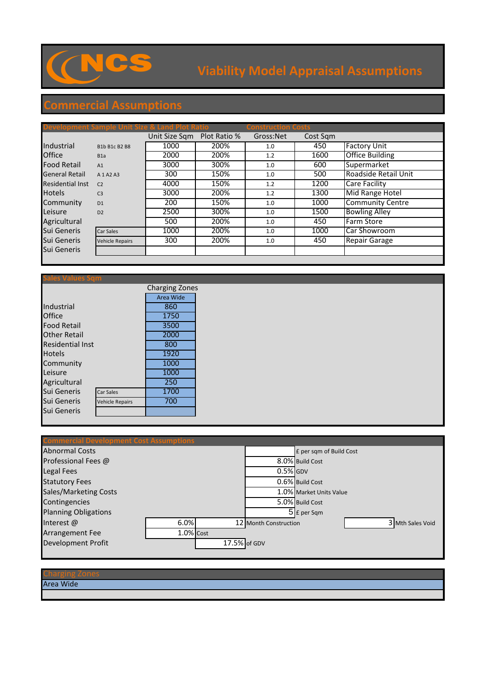

## **Viability Model Appraisal Assumptions**

## **Commercial Assumptions**

|                         | Development Sample Unit Size & Land Plot Ratio |               |              | <b>Construction Costs</b> |          |                         |
|-------------------------|------------------------------------------------|---------------|--------------|---------------------------|----------|-------------------------|
|                         |                                                | Unit Size Sqm | Plot Ratio % | Gross:Net                 | Cost Sqm |                         |
| Industrial              | B1b B1c B2 B8                                  | 1000          | 200%         | 1.0                       | 450      | <b>Factory Unit</b>     |
| <b>Office</b>           | B1a                                            | 2000          | 200%         | 1.2                       | 1600     | Office Building         |
| <b>Food Retail</b>      | A1                                             | 3000          | 300%         | 1.0                       | 600      | Supermarket             |
| <b>General Retail</b>   | A 1 A 2 A 3                                    | 300           | 150%         | 1.0                       | 500      | Roadside Retail Unit    |
| <b>Residential Inst</b> | C <sub>2</sub>                                 | 4000          | 150%         | 1.2                       | 1200     | Care Facility           |
| <b>Hotels</b>           | C <sub>3</sub>                                 | 3000          | 200%         | 1.2                       | 1300     | Mid Range Hotel         |
| Community               | D <sub>1</sub>                                 | 200           | 150%         | 1.0                       | 1000     | <b>Community Centre</b> |
| Leisure                 | D2                                             | 2500          | 300%         | 1.0                       | 1500     | <b>Bowling Alley</b>    |
| Agricultural            |                                                | 500           | 200%         | 1.0                       | 450      | Farm Store              |
| Sui Generis             | Car Sales                                      | 1000          | 200%         | 1.0                       | 1000     | Car Showroom            |
| Sui Generis             | <b>Vehicle Repairs</b>                         | 300           | 200%         | 1.0                       | 450      | <b>Repair Garage</b>    |
| Sui Generis             |                                                |               |              |                           |          |                         |
|                         |                                                |               |              |                           |          |                         |

|                         |                        | <b>Charging Zones</b> |  |
|-------------------------|------------------------|-----------------------|--|
|                         |                        | Area Wide             |  |
| Industrial              |                        | 860                   |  |
| <b>Office</b>           | 1750                   |                       |  |
| <b>Food Retail</b>      | 3500                   |                       |  |
| <b>Other Retail</b>     | 2000                   |                       |  |
| <b>Residential Inst</b> |                        | 800                   |  |
| <b>Hotels</b>           | 1920                   |                       |  |
| Community               | 1000                   |                       |  |
| Leisure                 |                        | 1000                  |  |
| Agricultural            |                        | 250                   |  |
| <b>Sui Generis</b>      | Car Sales              | 1700                  |  |
| Sui Generis             | <b>Vehicle Repairs</b> | 700                   |  |
| Sui Generis             |                        |                       |  |
|                         |                        |                       |  |

| <b>Commercial Development Cost Assumptions</b> |           |                                           |
|------------------------------------------------|-----------|-------------------------------------------|
| <b>Abnormal Costs</b>                          |           | £ per sqm of Build Cost                   |
| Professional Fees @                            |           | 8.0% Build Cost                           |
| <b>Legal Fees</b>                              |           | $0.5\%$ GDV                               |
| <b>Statutory Fees</b>                          |           | 0.6% Build Cost                           |
| <b>Sales/Marketing Costs</b>                   |           | 1.0% Market Units Value                   |
| Contingencies                                  |           | 5.0% Build Cost                           |
| <b>Planning Obligations</b>                    |           | 5 E per Sqm                               |
| Interest $\omega$                              | 6.0%      | 3 Mth Sales Void<br>12 Month Construction |
| <b>Arrangement Fee</b>                         | 1.0% Cost |                                           |
| <b>Development Profit</b>                      |           | $17.5\%$ of GDV                           |
|                                                |           |                                           |

## Charging Zones

Area Wide